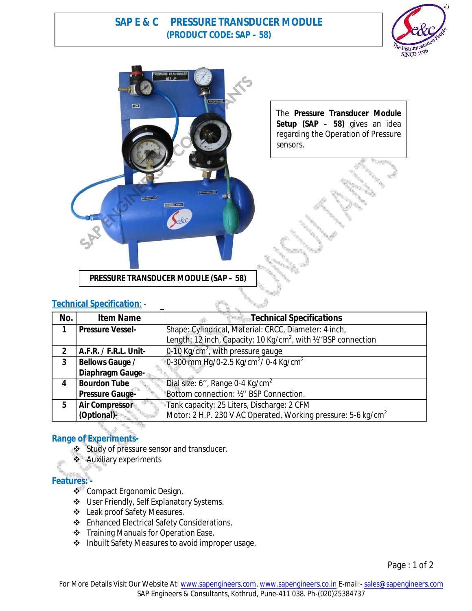# **SAP E & C PRESSURE TRANSDUCER MODULE (PRODUCT CODE: SAP – 58)**





The **Pressure Transducer Module Setup (SAP – 58)** gives an idea regarding the Operation of Pressure sensors.

**PRESSURE TRANSDUCER MODULE (SAP – 58)**

## **Technical Specification**: -

| No.            | <b>Item Name</b>        | Technical Specifications                                                    |
|----------------|-------------------------|-----------------------------------------------------------------------------|
| 1              | <b>Pressure Vessel-</b> | Shape: Cylindrical, Material: CRCC, Diameter: 4 inch,                       |
|                |                         | Length: 12 inch, Capacity: 10 Kg/cm <sup>2</sup> , with 1/2 "BSP connection |
| $\mathfrak{p}$ | A.F.R. / F.R.L. Unit-   | 0-10 Kg/cm <sup>2</sup> , with pressure gauge                               |
| 3              | <b>Bellows Gauge /</b>  | 0-300 mm Hg/0-2.5 Kg/cm <sup>2</sup> / 0-4 Kg/cm <sup>2</sup>               |
|                | Diaphragm Gauge-        |                                                                             |
| 4              | <b>Bourdon Tube</b>     | Dial size: 6", Range 0-4 Kg/cm <sup>2</sup>                                 |
|                | <b>Pressure Gauge-</b>  | Bottom connection: 1/2" BSP Connection.                                     |
| 5              | <b>Air Compressor</b>   | Tank capacity: 25 Liters, Discharge: 2 CFM                                  |
|                | (Optional)-             | Motor: 2 H.P. 230 V AC Operated, Working pressure: 5-6 kg/cm <sup>2</sup>   |

# **Range of Experiments-**

- Study of pressure sensor and transducer.
- **Auxiliary experiments**

### **Features: -**

- ❖ Compact Ergonomic Design.
- User Friendly, Self Explanatory Systems.
- Leak proof Safety Measures.
- ❖ Enhanced Electrical Safety Considerations.
- Training Manuals for Operation Ease.
- ❖ Inbuilt Safety Measures to avoid improper usage.

Page : 1 of 2